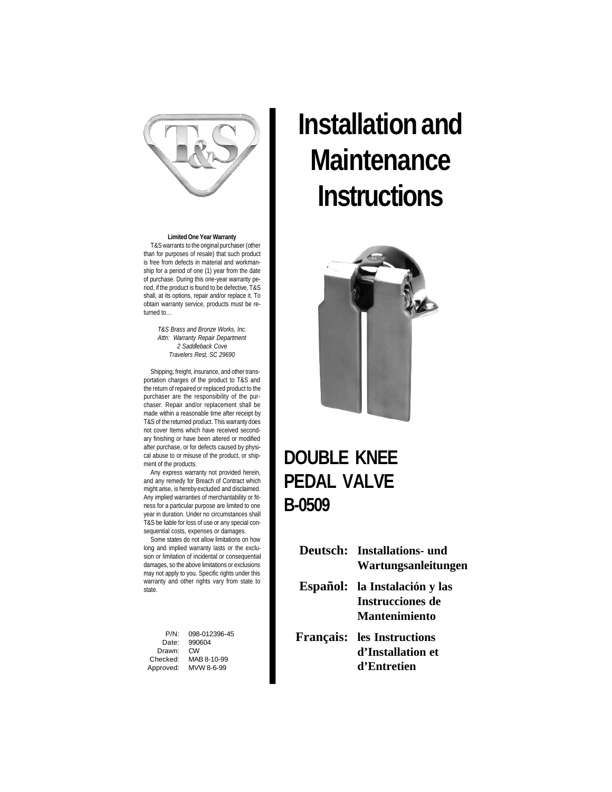

**Limited One Year Warranty** T&Swarrants to the original purchaser (other than for purposes of resale) that such product is free from defects in material and workmanship for a period of one (1) year from the date of purchase. During this one-year warranty period, if the product is found to be defective, T&S shall, at its options, repair and/or replace it. To obtain warranty service, products must be returned to…

> *T&S Brass and Bronze Works, Inc. Attn: Warranty Repair Department 2 Saddleback Cove Travelers Rest, SC 29690*

Shipping, freight, insurance, and other transportation charges of the product to T&S and the return of repaired or replaced product to the purchaser are the responsibility of the purchaser. Repair and/or replacement shall be made within a reasonable time after receipt by T&S of the returned product. This warranty does not cover Items which have received secondary finishing or have been altered or modified after purchase, or for defects caused by physical abuse to or misuse of the product, or shipment of the products.

Any express warranty not provided herein, and any remedy for Breach of Contract which might arise, is herebyexcluded and disclaimed. Any implied warranties of merchantability or fitness for a particular purpose are limited to one year in duration. Under no circumstances shall T&S be liable for loss of use or any special consequential costs, expenses or damages.

Some states do not allow limitations on how long and implied warranty lasts or the exclusion or limitation of incidental or consequential damages, so the above limitations or exclusions may not apply to you. Specific rights under this warranty and other rights vary from state to state.

P/N: 098-012396-45<br>Date: 990604 990604 Drawn:<br>Checked: MAB 8-10-99 Approved: MVW 8-6-99

# **Installation and Maintenance Instructions**



#### **DOUBLE KNEE PEDAL VALVE B-0509**

|  | <b>Deutsch:</b> Installations- und<br>Wartungsanleitungen |
|--|-----------------------------------------------------------|
|  | Español: la Instalación y las                             |
|  | <b>Instrucciones de</b>                                   |
|  | <b>Mantenimiento</b>                                      |
|  | <b>Français:</b> les Instructions                         |
|  | d'Installation et                                         |
|  | d'Entretien                                               |
|  |                                                           |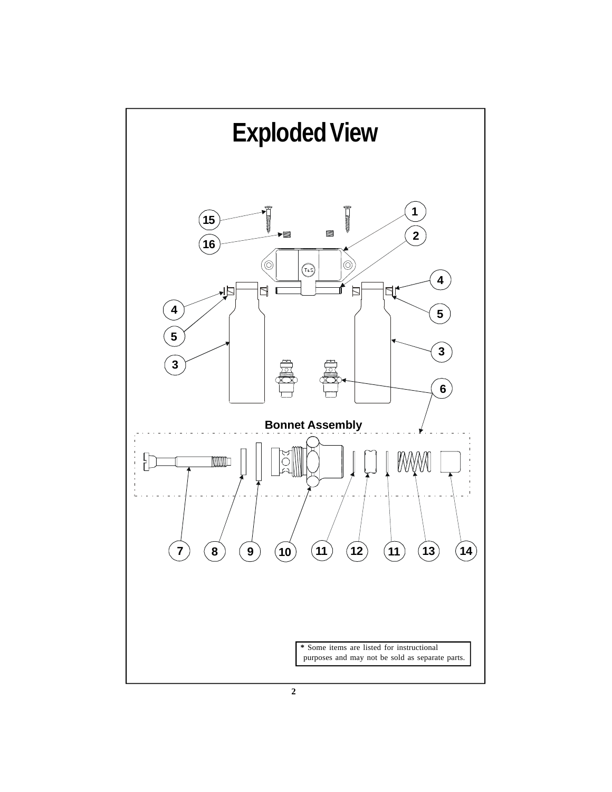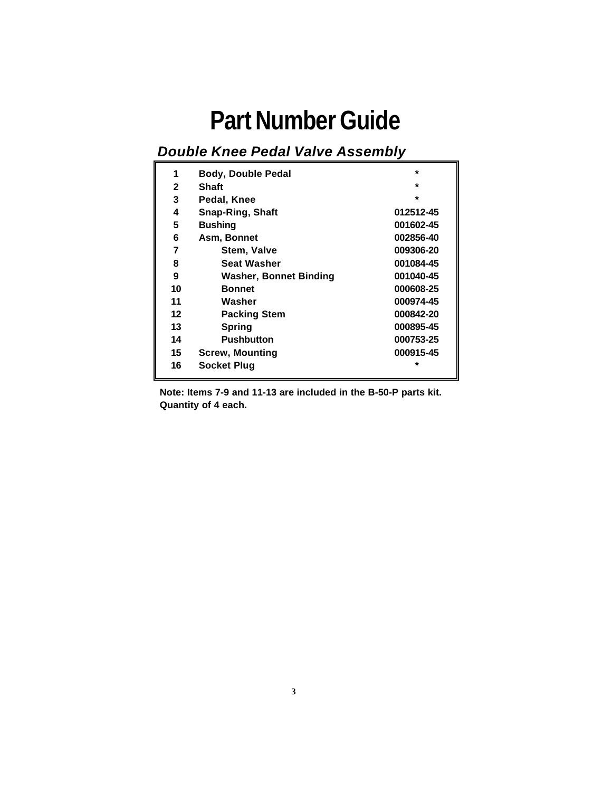### **Part Number Guide**

#### *Double Knee Pedal Valve Assembly*

| 1            | <b>Body, Double Pedal</b> | $\star$   |
|--------------|---------------------------|-----------|
| $\mathbf{2}$ | Shaft                     | $\star$   |
| 3            | Pedal, Knee               | $\star$   |
| 4            | <b>Snap-Ring, Shaft</b>   | 012512-45 |
| 5            | <b>Bushing</b>            | 001602-45 |
| 6            | Asm, Bonnet               | 002856-40 |
| 7            | Stem, Valve               | 009306-20 |
| 8            | <b>Seat Washer</b>        | 001084-45 |
| 9            | Washer, Bonnet Binding    | 001040-45 |
| 10           | <b>Bonnet</b>             | 000608-25 |
| 11           | Washer                    | 000974-45 |
| 12           | <b>Packing Stem</b>       | 000842-20 |
| 13           | <b>Spring</b>             | 000895-45 |
| 14           | <b>Pushbutton</b>         | 000753-25 |
| 15           | <b>Screw, Mounting</b>    | 000915-45 |
| 16           | <b>Socket Plug</b>        | $\star$   |

 **Note: Items 7-9 and 11-13 are included in the B-50-P parts kit. Quantity of 4 each.**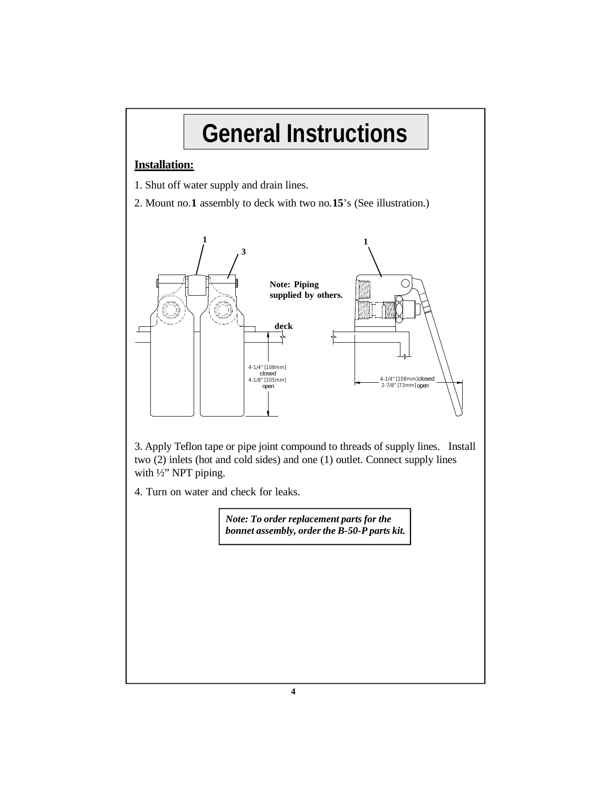## **General Instructions**

#### **Installation:**

- 1. Shut off water supply and drain lines.
- 2. Mount no.**1** assembly to deck with two no.**15**'s (See illustration.)



3. Apply Teflon tape or pipe joint compound to threads of supply lines. Install two (2) inlets (hot and cold sides) and one (1) outlet. Connect supply lines with ½" NPT piping.

4. Turn on water and check for leaks.

*Note: To order replacement parts for the bonnet assembly, order the B-50-P parts kit.*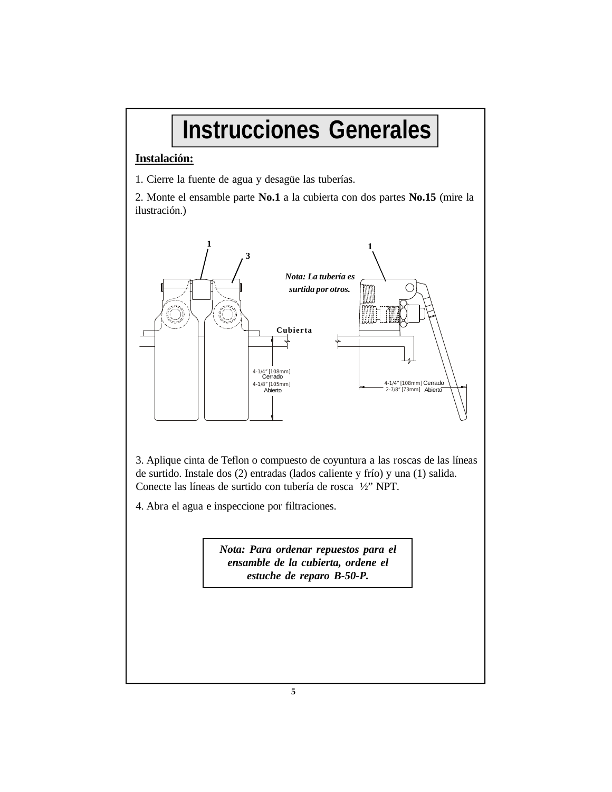### **Instrucciones Generales**

#### **Instalación:**

1. Cierre la fuente de agua y desagüe las tuberías.

2. Monte el ensamble parte **No.1** a la cubierta con dos partes **No.15** (mire la ilustración.)



3. Aplique cinta de Teflon o compuesto de coyuntura a las roscas de las líneas de surtido. Instale dos (2) entradas (lados caliente y frío) y una (1) salida. Conecte las líneas de surtido con tubería de rosca ½" NPT.

4. Abra el agua e inspeccione por filtraciones.

*Nota: Para ordenar repuestos para el ensamble de la cubierta, ordene el estuche de reparo B-50-P.*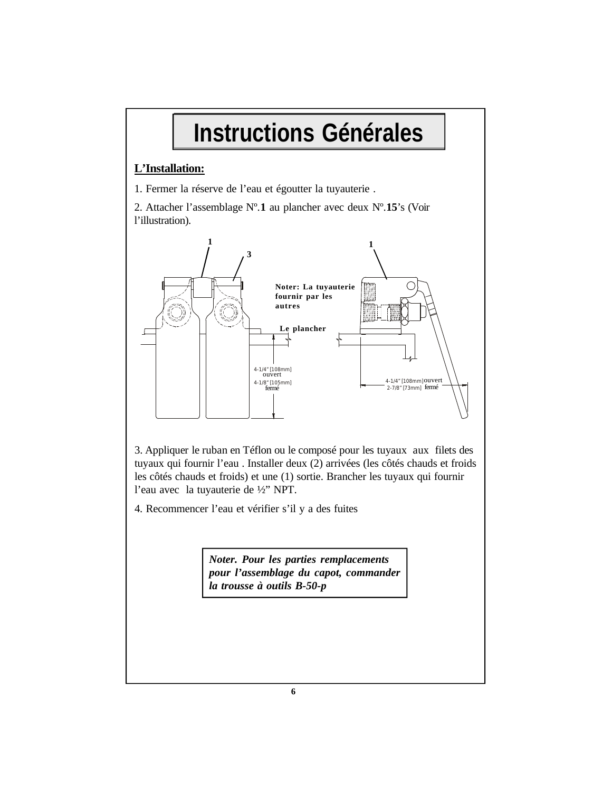### **Instructions Générales**

#### **L'Installation:**

1. Fermer la réserve de l'eau et égoutter la tuyauterie .

2. Attacher l'assemblage Nº.**1** au plancher avec deux Nº.**15**'s (Voir l'illustration).



3. Appliquer le ruban en Téflon ou le composé pour les tuyaux aux filets des tuyaux qui fournir l'eau . Installer deux (2) arrivées (les côtés chauds et froids les côtés chauds et froids) et une (1) sortie. Brancher les tuyaux qui fournir l'eau avec la tuyauterie de ½" NPT.

4. Recommencer l'eau et vérifier s'il y a des fuites

*Noter. Pour les parties remplacements pour l'assemblage du capot, commander la trousse à outils B-50-p*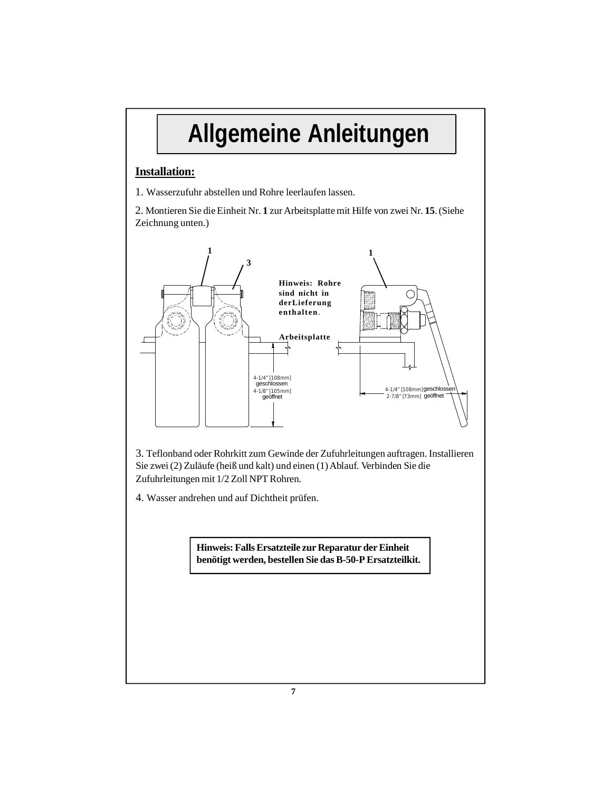### **Allgemeine Anleitungen**

#### **Installation:**

1. Wasserzufuhr abstellen und Rohre leerlaufen lassen.

2. Montieren Sie dieEinheit Nr. **1** zurArbeitsplattemit Hilfe von zwei Nr. **15**. (Siehe Zeichnung unten.)



3. Teflonband oder Rohrkitt zum Gewinde der Zufuhrleitungen auftragen. Installieren Sie zwei (2) Zuläufe (heiß und kalt) und einen (1)Ablauf. Verbinden Sie die Zufuhrleitungen mit 1/2 Zoll NPT Rohren.

4. Wasser andrehen und auf Dichtheit prüfen.

**Hinweis: Falls Ersatzteile zur Reparatur der Einheit benötigt werden, bestellen Sie das B-50-P Ersatzteilkit.**